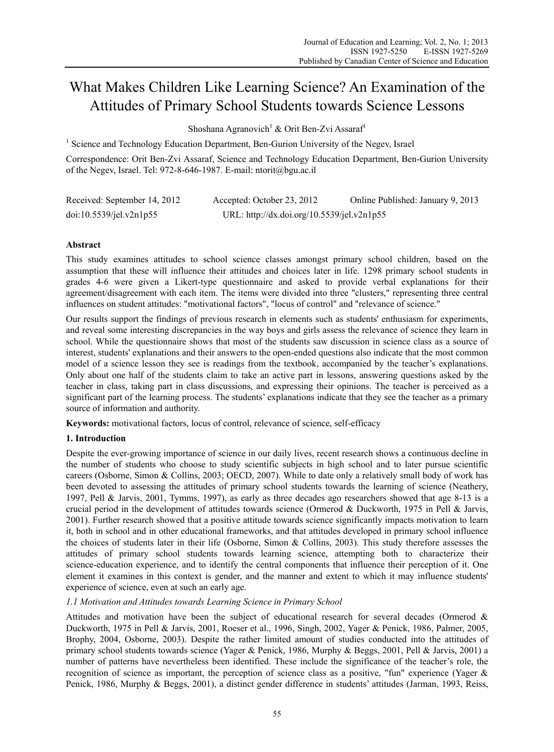# What Makes Children Like Learning Science? An Examination of the Attitudes of Primary School Students towards Science Lessons

Shoshana Agranovich<sup>1</sup> & Orit Ben-Zvi Assaraf<sup>1</sup>

<sup>1</sup> Science and Technology Education Department, Ben-Gurion University of the Negev, Israel

Correspondence: Orit Ben-Zvi Assaraf, Science and Technology Education Department, Ben-Gurion University of the Negev, Israel. Tel: 972-8-646-1987. E-mail: ntorit@bgu.ac.il

| Received: September 14, 2012 | Accepted: October 23, 2012                 | Online Published: January 9, 2013 |
|------------------------------|--------------------------------------------|-----------------------------------|
| doi:10.5539/jel.v2n1p55      | URL: http://dx.doi.org/10.5539/jel.v2n1p55 |                                   |

# **Abstract**

This study examines attitudes to school science classes amongst primary school children, based on the assumption that these will influence their attitudes and choices later in life. 1298 primary school students in grades 4-6 were given a Likert-type questionnaire and asked to provide verbal explanations for their agreement/disagreement with each item. The items were divided into three "clusters," representing three central influences on student attitudes: "motivational factors", "locus of control" and "relevance of science."

Our results support the findings of previous research in elements such as students' enthusiasm for experiments, and reveal some interesting discrepancies in the way boys and girls assess the relevance of science they learn in school. While the questionnaire shows that most of the students saw discussion in science class as a source of interest, students' explanations and their answers to the open-ended questions also indicate that the most common model of a science lesson they see is readings from the textbook, accompanied by the teacher's explanations. Only about one half of the students claim to take an active part in lessons, answering questions asked by the teacher in class, taking part in class discussions, and expressing their opinions. The teacher is perceived as a significant part of the learning process. The students' explanations indicate that they see the teacher as a primary source of information and authority.

**Keywords:** motivational factors, locus of control, relevance of science, self-efficacy

# **1. Introduction**

Despite the ever-growing importance of science in our daily lives, recent research shows a continuous decline in the number of students who choose to study scientific subjects in high school and to later pursue scientific careers (Osborne, Simon & Collins, 2003; OECD, 2007). While to date only a relatively small body of work has been devoted to assessing the attitudes of primary school students towards the learning of science (Neathery, 1997, Pell & Jarvis, 2001, Tymms, 1997), as early as three decades ago researchers showed that age 8-13 is a crucial period in the development of attitudes towards science (Ormerod & Duckworth, 1975 in Pell & Jarvis, 2001). Further research showed that a positive attitude towards science significantly impacts motivation to learn it, both in school and in other educational frameworks, and that attitudes developed in primary school influence the choices of students later in their life (Osborne, Simon & Collins, 2003). This study therefore assesses the attitudes of primary school students towards learning science, attempting both to characterize their science-education experience, and to identify the central components that influence their perception of it. One element it examines in this context is gender, and the manner and extent to which it may influence students' experience of science, even at such an early age.

# *1.1 Motivation and Attitudes towards Learning Science in Primary School*

Attitudes and motivation have been the subject of educational research for several decades (Ormerod & Duckworth, 1975 in Pell & Jarvis, 2001, Roeser et al., 1996, Singh, 2002, Yager & Penick, 1986, Palmer, 2005, Brophy, 2004, Osborne, 2003). Despite the rather limited amount of studies conducted into the attitudes of primary school students towards science (Yager & Penick, 1986, Murphy & Beggs, 2001, Pell & Jarvis, 2001) a number of patterns have nevertheless been identified. These include the significance of the teacher's role, the recognition of science as important, the perception of science class as a positive, "fun" experience (Yager & Penick, 1986, Murphy & Beggs, 2001), a distinct gender difference in students' attitudes (Jarman, 1993, Reiss,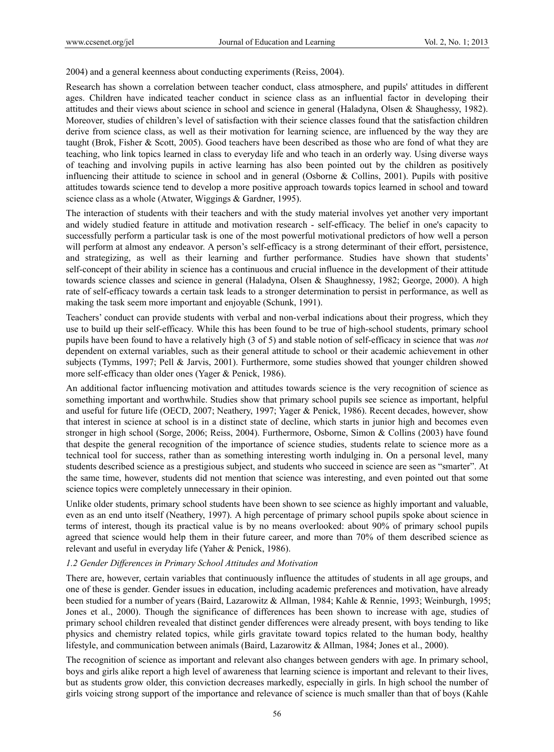2004) and a general keenness about conducting experiments (Reiss, 2004).

Research has shown a correlation between teacher conduct, class atmosphere, and pupils' attitudes in different ages. Children have indicated teacher conduct in science class as an influential factor in developing their attitudes and their views about science in school and science in general (Haladyna, Olsen & Shaughessy, 1982). Moreover, studies of children's level of satisfaction with their science classes found that the satisfaction children derive from science class, as well as their motivation for learning science, are influenced by the way they are taught (Brok, Fisher & Scott, 2005). Good teachers have been described as those who are fond of what they are teaching, who link topics learned in class to everyday life and who teach in an orderly way. Using diverse ways of teaching and involving pupils in active learning has also been pointed out by the children as positively influencing their attitude to science in school and in general (Osborne & Collins, 2001). Pupils with positive attitudes towards science tend to develop a more positive approach towards topics learned in school and toward science class as a whole (Atwater, Wiggings & Gardner, 1995).

The interaction of students with their teachers and with the study material involves yet another very important and widely studied feature in attitude and motivation research - self-efficacy. The belief in one's capacity to successfully perform a particular task is one of the most powerful motivational predictors of how well a person will perform at almost any endeavor. A person's self-efficacy is a strong determinant of their effort, persistence, and strategizing, as well as their learning and further performance. Studies have shown that students' self-concept of their ability in science has a continuous and crucial influence in the development of their attitude towards science classes and science in general (Haladyna, Olsen & Shaughnessy, 1982; George, 2000). A high rate of self-efficacy towards a certain task leads to a stronger determination to persist in performance, as well as making the task seem more important and enjoyable (Schunk, 1991).

Teachers' conduct can provide students with verbal and non-verbal indications about their progress, which they use to build up their self-efficacy. While this has been found to be true of high-school students, primary school pupils have been found to have a relatively high (3 of 5) and stable notion of self-efficacy in science that was *not* dependent on external variables, such as their general attitude to school or their academic achievement in other subjects (Tymms, 1997; Pell & Jarvis, 2001). Furthermore, some studies showed that younger children showed more self-efficacy than older ones (Yager & Penick, 1986).

An additional factor influencing motivation and attitudes towards science is the very recognition of science as something important and worthwhile. Studies show that primary school pupils see science as important, helpful and useful for future life (OECD, 2007; Neathery, 1997; Yager & Penick, 1986). Recent decades, however, show that interest in science at school is in a distinct state of decline, which starts in junior high and becomes even stronger in high school (Sorge, 2006; Reiss, 2004). Furthermore, Osborne, Simon & Collins (2003) have found that despite the general recognition of the importance of science studies, students relate to science more as a technical tool for success, rather than as something interesting worth indulging in. On a personal level, many students described science as a prestigious subject, and students who succeed in science are seen as "smarter". At the same time, however, students did not mention that science was interesting, and even pointed out that some science topics were completely unnecessary in their opinion.

Unlike older students, primary school students have been shown to see science as highly important and valuable, even as an end unto itself (Neathery, 1997). A high percentage of primary school pupils spoke about science in terms of interest, though its practical value is by no means overlooked: about 90% of primary school pupils agreed that science would help them in their future career, and more than 70% of them described science as relevant and useful in everyday life (Yaher & Penick, 1986).

#### *1.2 Gender Differences in Primary School Attitudes and Motivation*

There are, however, certain variables that continuously influence the attitudes of students in all age groups, and one of these is gender. Gender issues in education, including academic preferences and motivation, have already been studied for a number of years (Baird, Lazarowitz & Allman, 1984; Kahle & Rennie, 1993; Weinburgh, 1995; Jones et al., 2000). Though the significance of differences has been shown to increase with age, studies of primary school children revealed that distinct gender differences were already present, with boys tending to like physics and chemistry related topics, while girls gravitate toward topics related to the human body, healthy lifestyle, and communication between animals (Baird, Lazarowitz & Allman, 1984; Jones et al., 2000).

The recognition of science as important and relevant also changes between genders with age. In primary school, boys and girls alike report a high level of awareness that learning science is important and relevant to their lives, but as students grow older, this conviction decreases markedly, especially in girls. In high school the number of girls voicing strong support of the importance and relevance of science is much smaller than that of boys (Kahle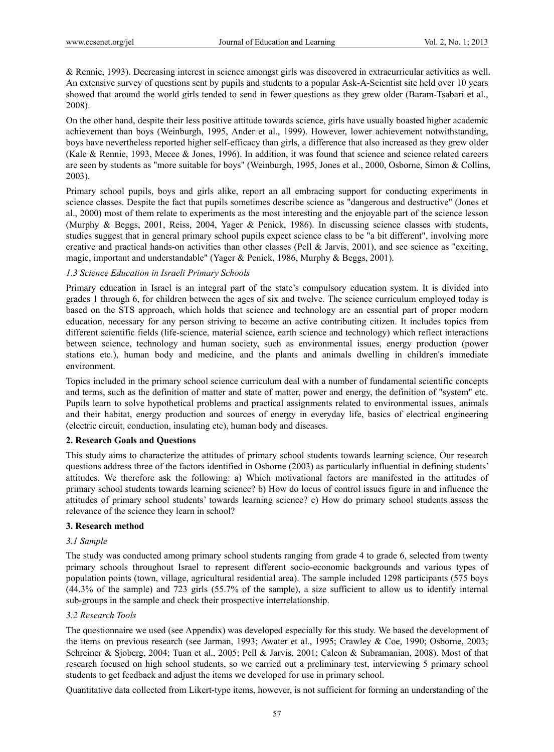& Rennie, 1993). Decreasing interest in science amongst girls was discovered in extracurricular activities as well. An extensive survey of questions sent by pupils and students to a popular Ask-A-Scientist site held over 10 years showed that around the world girls tended to send in fewer questions as they grew older (Baram-Tsabari et al., 2008).

On the other hand, despite their less positive attitude towards science, girls have usually boasted higher academic achievement than boys (Weinburgh, 1995, Ander et al., 1999). However, lower achievement notwithstanding, boys have nevertheless reported higher self-efficacy than girls, a difference that also increased as they grew older (Kale & Rennie, 1993, Mecee & Jones, 1996). In addition, it was found that science and science related careers are seen by students as "more suitable for boys" (Weinburgh, 1995, Jones et al., 2000, Osborne, Simon & Collins, 2003).

Primary school pupils, boys and girls alike, report an all embracing support for conducting experiments in science classes. Despite the fact that pupils sometimes describe science as "dangerous and destructive" (Jones et al., 2000) most of them relate to experiments as the most interesting and the enjoyable part of the science lesson (Murphy & Beggs, 2001, Reiss, 2004, Yager & Penick, 1986). In discussing science classes with students, studies suggest that in general primary school pupils expect science class to be "a bit different", involving more creative and practical hands-on activities than other classes (Pell & Jarvis, 2001), and see science as "exciting, magic, important and understandable" (Yager & Penick, 1986, Murphy & Beggs, 2001).

#### *1.3 Science Education in Israeli Primary Schools*

Primary education in Israel is an integral part of the state's compulsory education system. It is divided into grades 1 through 6, for children between the ages of six and twelve. The science curriculum employed today is based on the STS approach, which holds that science and technology are an essential part of proper modern education, necessary for any person striving to become an active contributing citizen. It includes topics from different scientific fields (life-science, material science, earth science and technology) which reflect interactions between science, technology and human society, such as environmental issues, energy production (power stations etc.), human body and medicine, and the plants and animals dwelling in children's immediate environment.

Topics included in the primary school science curriculum deal with a number of fundamental scientific concepts and terms, such as the definition of matter and state of matter, power and energy, the definition of "system" etc. Pupils learn to solve hypothetical problems and practical assignments related to environmental issues, animals and their habitat, energy production and sources of energy in everyday life, basics of electrical engineering (electric circuit, conduction, insulating etc), human body and diseases.

#### **2. Research Goals and Questions**

This study aims to characterize the attitudes of primary school students towards learning science. Our research questions address three of the factors identified in Osborne (2003) as particularly influential in defining students' attitudes. We therefore ask the following: a) Which motivational factors are manifested in the attitudes of primary school students towards learning science? b) How do locus of control issues figure in and influence the attitudes of primary school students' towards learning science? c) How do primary school students assess the relevance of the science they learn in school?

#### **3. Research method**

### *3.1 Sample*

The study was conducted among primary school students ranging from grade 4 to grade 6, selected from twenty primary schools throughout Israel to represent different socio-economic backgrounds and various types of population points (town, village, agricultural residential area). The sample included 1298 participants (575 boys (44.3% of the sample) and 723 girls (55.7% of the sample), a size sufficient to allow us to identify internal sub-groups in the sample and check their prospective interrelationship.

#### *3.2 Research Tools*

The questionnaire we used (see Appendix) was developed especially for this study. We based the development of the items on previous research (see Jarman, 1993; Awater et al., 1995; Crawley & Coe, 1990; Osborne, 2003; Schreiner & Sjoberg, 2004; Tuan et al., 2005; Pell & Jarvis, 2001; Caleon & Subramanian, 2008). Most of that research focused on high school students, so we carried out a preliminary test, interviewing 5 primary school students to get feedback and adjust the items we developed for use in primary school.

Quantitative data collected from Likert-type items, however, is not sufficient for forming an understanding of the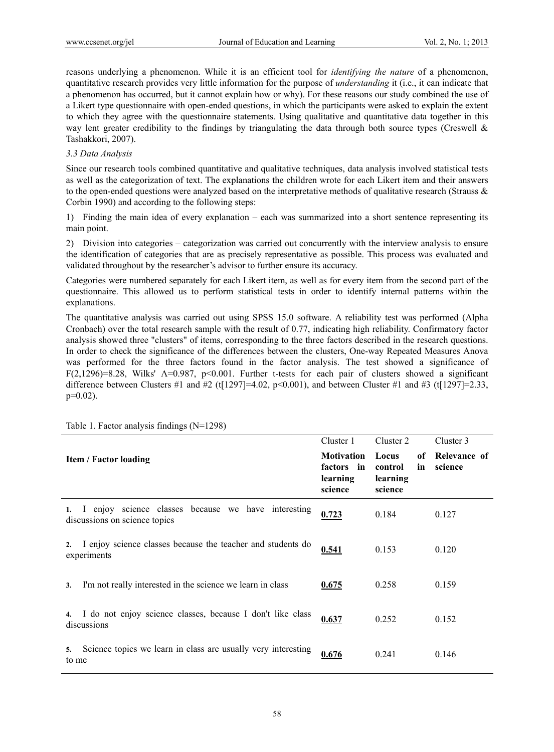reasons underlying a phenomenon. While it is an efficient tool for *identifying the nature* of a phenomenon, quantitative research provides very little information for the purpose of *understanding* it (i.e., it can indicate that a phenomenon has occurred, but it cannot explain how or why). For these reasons our study combined the use of a Likert type questionnaire with open-ended questions, in which the participants were asked to explain the extent to which they agree with the questionnaire statements. Using qualitative and quantitative data together in this way lent greater credibility to the findings by triangulating the data through both source types (Creswell  $\&$ Tashakkori, 2007).

## *3.3 Data Analysis*

Since our research tools combined quantitative and qualitative techniques, data analysis involved statistical tests as well as the categorization of text. The explanations the children wrote for each Likert item and their answers to the open-ended questions were analyzed based on the interpretative methods of qualitative research (Strauss  $\&$ Corbin 1990) and according to the following steps:

1) Finding the main idea of every explanation – each was summarized into a short sentence representing its main point.

2) Division into categories – categorization was carried out concurrently with the interview analysis to ensure the identification of categories that are as precisely representative as possible. This process was evaluated and validated throughout by the researcher's advisor to further ensure its accuracy.

Categories were numbered separately for each Likert item, as well as for every item from the second part of the questionnaire. This allowed us to perform statistical tests in order to identify internal patterns within the explanations.

The quantitative analysis was carried out using SPSS 15.0 software. A reliability test was performed (Alpha Cronbach) over the total research sample with the result of 0.77, indicating high reliability. Confirmatory factor analysis showed three "clusters" of items, corresponding to the three factors described in the research questions. In order to check the significance of the differences between the clusters, One-way Repeated Measures Anova was performed for the three factors found in the factor analysis. The test showed a significance of F(2,1296)=8.28, Wilks'  $\Lambda$ =0.987, p<0.001. Further t-tests for each pair of clusters showed a significant difference between Clusters #1 and #2 (t[1297]=4.02, p<0.001), and between Cluster #1 and #3 (t[1297]=2.33,  $p=0.02$ ).

|                                                                                            | Cluster 1                                              | Cluster 2                                           | Cluster 3               |
|--------------------------------------------------------------------------------------------|--------------------------------------------------------|-----------------------------------------------------|-------------------------|
| <b>Item / Factor loading</b>                                                               | <b>Motivation</b><br>factors in<br>learning<br>science | Locus<br>of<br>control<br>in<br>learning<br>science | Relevance of<br>science |
| I enjoy science classes because we have interesting<br>1.<br>discussions on science topics | 0.723                                                  | 0.184                                               | 0.127                   |
| I enjoy science classes because the teacher and students do<br>2.<br>experiments           | 0.541                                                  | 0.153                                               | 0.120                   |
| I'm not really interested in the science we learn in class<br>3.                           | 0.675                                                  | 0.258                                               | 0.159                   |
| I do not enjoy science classes, because I don't like class<br>discussions                  | 0.637                                                  | 0.252                                               | 0.152                   |
| Science topics we learn in class are usually very interesting<br>5.<br>to me               | 0.676                                                  | 0.241                                               | 0.146                   |

Table 1. Factor analysis findings (N=1298)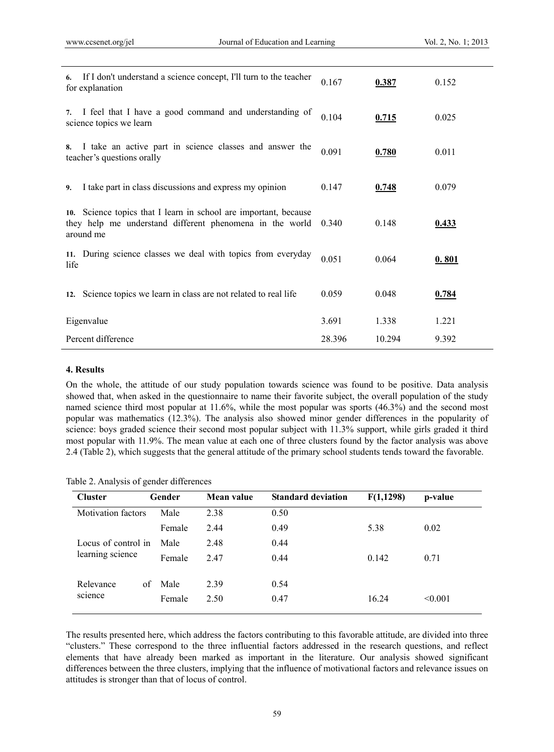| 6.   | If I don't understand a science concept, I'll turn to the teacher<br>for explanation                                                      | 0.167  | 0.387  | 0.152 |
|------|-------------------------------------------------------------------------------------------------------------------------------------------|--------|--------|-------|
| 7.   | I feel that I have a good command and understanding of<br>science topics we learn                                                         | 0.104  | 0.715  | 0.025 |
| 8.   | I take an active part in science classes and answer the<br>teacher's questions orally                                                     | 0.091  | 0.780  | 0.011 |
| 9.   | I take part in class discussions and express my opinion                                                                                   | 0.147  | 0.748  | 0.079 |
|      | 10. Science topics that I learn in school are important, because<br>they help me understand different phenomena in the world<br>around me | 0.340  | 0.148  | 0.433 |
| life | 11. During science classes we deal with topics from everyday                                                                              | 0.051  | 0.064  | 0.801 |
|      | 12. Science topics we learn in class are not related to real life                                                                         | 0.059  | 0.048  | 0.784 |
|      | Eigenvalue                                                                                                                                | 3.691  | 1.338  | 1.221 |
|      | Percent difference                                                                                                                        | 28.396 | 10.294 | 9.392 |

#### **4. Results**

On the whole, the attitude of our study population towards science was found to be positive. Data analysis showed that, when asked in the questionnaire to name their favorite subject, the overall population of the study named science third most popular at 11.6%, while the most popular was sports (46.3%) and the second most popular was mathematics (12.3%). The analysis also showed minor gender differences in the popularity of science: boys graded science their second most popular subject with 11.3% support, while girls graded it third most popular with 11.9%. The mean value at each one of three clusters found by the factor analysis was above 2.4 (Table 2), which suggests that the general attitude of the primary school students tends toward the favorable.

|  |  | Table 2. Analysis of gender differences |
|--|--|-----------------------------------------|
|  |  |                                         |

| <b>Cluster</b>            | Gender | Mean value | <b>Standard deviation</b> | F(1,1298) | p-value |
|---------------------------|--------|------------|---------------------------|-----------|---------|
| <b>Motivation factors</b> | Male   | 2.38       | 0.50                      |           |         |
|                           | Female | 2.44       | 0.49                      | 5.38      | 0.02    |
| Locus of control in       | Male   | 2.48       | 0.44                      |           |         |
| learning science          | Female | 2.47       | 0.44                      | 0.142     | 0.71    |
|                           |        |            |                           |           |         |
| Relevance<br>of           | Male   | 2.39       | 0.54                      |           |         |
| science                   | Female | 2.50       | 0.47                      | 16.24     | < 0.001 |
|                           |        |            |                           |           |         |

The results presented here, which address the factors contributing to this favorable attitude, are divided into three "clusters." These correspond to the three influential factors addressed in the research questions, and reflect elements that have already been marked as important in the literature. Our analysis showed significant differences between the three clusters, implying that the influence of motivational factors and relevance issues on attitudes is stronger than that of locus of control.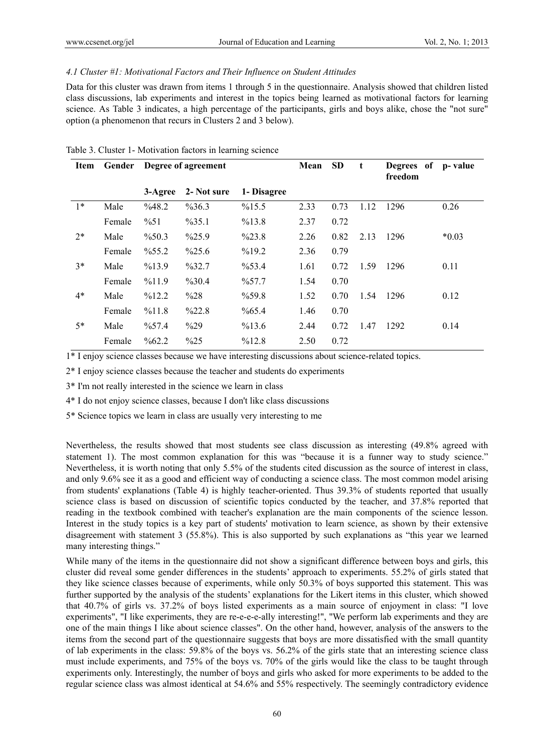#### *4.1 Cluster #1: Motivational Factors and Their Influence on Student Attitudes*

Data for this cluster was drawn from items 1 through 5 in the questionnaire. Analysis showed that children listed class discussions, lab experiments and interest in the topics being learned as motivational factors for learning science. As Table 3 indicates, a high percentage of the participants, girls and boys alike, chose the "not sure" option (a phenomenon that recurs in Clusters 2 and 3 below).

| Item | Gender | Degree of agreement |                    | Mean               | <b>SD</b> | t    | Degrees of p-value<br>freedom |      |         |
|------|--------|---------------------|--------------------|--------------------|-----------|------|-------------------------------|------|---------|
|      |        | 3-Agree             | 2- Not sure        | 1- Disagree        |           |      |                               |      |         |
| $1*$ | Male   | %48.2               | %36.3              | %15.5              | 2.33      | 0.73 | 1.12                          | 1296 | 0.26    |
|      | Female | $\frac{9}{6}$ 51    | $\frac{9}{6}$ 35.1 | %13.8              | 2.37      | 0.72 |                               |      |         |
| $2*$ | Male   | $\%50.3$            | $\frac{9}{25.9}$   | $\frac{9}{223.8}$  | 2.26      | 0.82 | 2.13                          | 1296 | $*0.03$ |
|      | Female | $\frac{9}{6}$ 55.2  | $\frac{9}{25.6}$   | %19.2              | 2.36      | 0.79 |                               |      |         |
| $3*$ | Male   | %13.9               | %32.7              | %53.4              | 1.61      | 0.72 | 1.59                          | 1296 | 0.11    |
|      | Female | %11.9               | %30.4              | $\frac{9}{6}$ 57.7 | 1.54      | 0.70 |                               |      |         |
| $4*$ | Male   | %12.2               | %28                | $\%59.8$           | 1.52      | 0.70 | 1.54                          | 1296 | 0.12    |
|      | Female | %11.8               | %22.8              | $\%65.4$           | 1.46      | 0.70 |                               |      |         |
| $5*$ | Male   | $\frac{9}{6}$ 57.4  | $\frac{9}{629}$    | %13.6              | 2.44      | 0.72 | 1.47                          | 1292 | 0.14    |
|      | Female | $\frac{9}{662.2}$   | $\%25$             | %12.8              | 2.50      | 0.72 |                               |      |         |

Table 3. Cluster 1- Motivation factors in learning science

1\* I enjoy science classes because we have interesting discussions about science-related topics.

2\* I enjoy science classes because the teacher and students do experiments

3\* I'm not really interested in the science we learn in class

4\* I do not enjoy science classes, because I don't like class discussions

5\* Science topics we learn in class are usually very interesting to me

Nevertheless, the results showed that most students see class discussion as interesting (49.8% agreed with statement 1). The most common explanation for this was "because it is a funner way to study science." Nevertheless, it is worth noting that only 5.5% of the students cited discussion as the source of interest in class, and only 9.6% see it as a good and efficient way of conducting a science class. The most common model arising from students' explanations (Table 4) is highly teacher-oriented. Thus 39.3% of students reported that usually science class is based on discussion of scientific topics conducted by the teacher, and 37.8% reported that reading in the textbook combined with teacher's explanation are the main components of the science lesson. Interest in the study topics is a key part of students' motivation to learn science, as shown by their extensive disagreement with statement 3 (55.8%). This is also supported by such explanations as "this year we learned many interesting things."

While many of the items in the questionnaire did not show a significant difference between boys and girls, this cluster did reveal some gender differences in the students' approach to experiments. 55.2% of girls stated that they like science classes because of experiments, while only 50.3% of boys supported this statement. This was further supported by the analysis of the students' explanations for the Likert items in this cluster, which showed that 40.7% of girls vs. 37.2% of boys listed experiments as a main source of enjoyment in class: "I love experiments", "I like experiments, they are re-e-e-e-ally interesting!", "We perform lab experiments and they are one of the main things I like about science classes". On the other hand, however, analysis of the answers to the items from the second part of the questionnaire suggests that boys are more dissatisfied with the small quantity of lab experiments in the class: 59.8% of the boys vs. 56.2% of the girls state that an interesting science class must include experiments, and 75% of the boys vs. 70% of the girls would like the class to be taught through experiments only. Interestingly, the number of boys and girls who asked for more experiments to be added to the regular science class was almost identical at 54.6% and 55% respectively. The seemingly contradictory evidence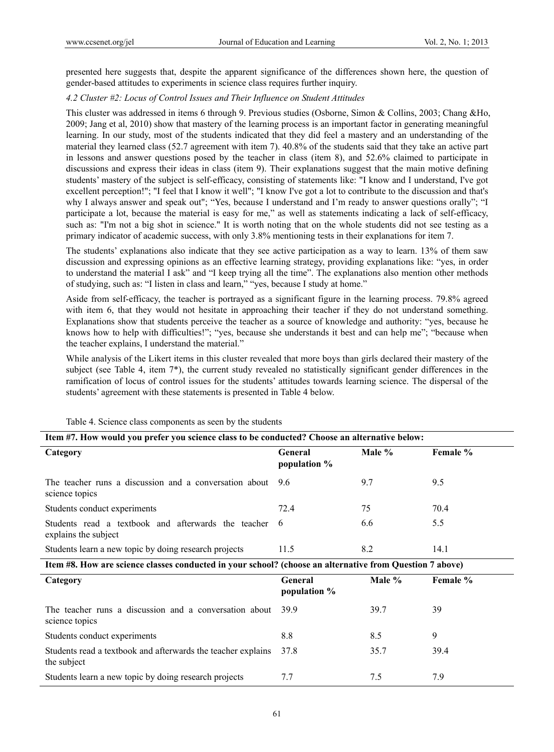presented here suggests that, despite the apparent significance of the differences shown here, the question of gender-based attitudes to experiments in science class requires further inquiry.

## *4.2 Cluster #2: Locus of Control Issues and Their Influence on Student Attitudes*

This cluster was addressed in items 6 through 9. Previous studies (Osborne, Simon & Collins, 2003; Chang &Ho, 2009; Jang et al, 2010) show that mastery of the learning process is an important factor in generating meaningful learning. In our study, most of the students indicated that they did feel a mastery and an understanding of the material they learned class (52.7 agreement with item 7). 40.8% of the students said that they take an active part in lessons and answer questions posed by the teacher in class (item 8), and 52.6% claimed to participate in discussions and express their ideas in class (item 9). Their explanations suggest that the main motive defining students' mastery of the subject is self-efficacy, consisting of statements like: "I know and I understand, I've got excellent perception!"; "I feel that I know it well"; "I know I've got a lot to contribute to the discussion and that's why I always answer and speak out"; "Yes, because I understand and I'm ready to answer questions orally"; "I participate a lot, because the material is easy for me," as well as statements indicating a lack of self-efficacy, such as: "I'm not a big shot in science." It is worth noting that on the whole students did not see testing as a primary indicator of academic success, with only 3.8% mentioning tests in their explanations for item 7.

The students' explanations also indicate that they see active participation as a way to learn. 13% of them saw discussion and expressing opinions as an effective learning strategy, providing explanations like: "yes, in order to understand the material I ask" and "I keep trying all the time". The explanations also mention other methods of studying, such as: "I listen in class and learn," "yes, because I study at home."

Aside from self-efficacy, the teacher is portrayed as a significant figure in the learning process. 79.8% agreed with item 6, that they would not hesitate in approaching their teacher if they do not understand something. Explanations show that students perceive the teacher as a source of knowledge and authority: "yes, because he knows how to help with difficulties!"; "yes, because she understands it best and can help me"; "because when the teacher explains, I understand the material."

While analysis of the Likert items in this cluster revealed that more boys than girls declared their mastery of the subject (see Table 4, item 7\*), the current study revealed no statistically significant gender differences in the ramification of locus of control issues for the students' attitudes towards learning science. The dispersal of the students' agreement with these statements is presented in Table 4 below.

| Item #7. How would you prefer you science class to be conducted? Choose an alternative below:            |                                |        |          |  |  |  |  |  |
|----------------------------------------------------------------------------------------------------------|--------------------------------|--------|----------|--|--|--|--|--|
| Category                                                                                                 | <b>General</b><br>population % | Male % | Female % |  |  |  |  |  |
| The teacher runs a discussion and a conversation about<br>science topics                                 | 96                             | 9.7    | 9.5      |  |  |  |  |  |
| Students conduct experiments                                                                             | 72.4                           | 75     | 70.4     |  |  |  |  |  |
| Students read a textbook and afterwards the teacher<br>explains the subject                              | 6                              | 6.6    | 5.5      |  |  |  |  |  |
| Students learn a new topic by doing research projects                                                    | 11.5                           | 8.2    | 14.1     |  |  |  |  |  |
| Item #8. How are science classes conducted in your school? (choose an alternative from Question 7 above) |                                |        |          |  |  |  |  |  |
| Category                                                                                                 | General<br>population %        | Male % | Female % |  |  |  |  |  |
| The teacher runs a discussion and a conversation about<br>science topics                                 | 39.9                           | 39.7   | 39       |  |  |  |  |  |
| Students conduct experiments                                                                             | 8.8                            | 8.5    | 9        |  |  |  |  |  |
| Students read a textbook and afterwards the teacher explains<br>the subject                              | 37.8                           | 35.7   | 39.4     |  |  |  |  |  |
| Students learn a new topic by doing research projects                                                    | 7.7                            | 7.5    | 7.9      |  |  |  |  |  |

Table 4. Science class components as seen by the students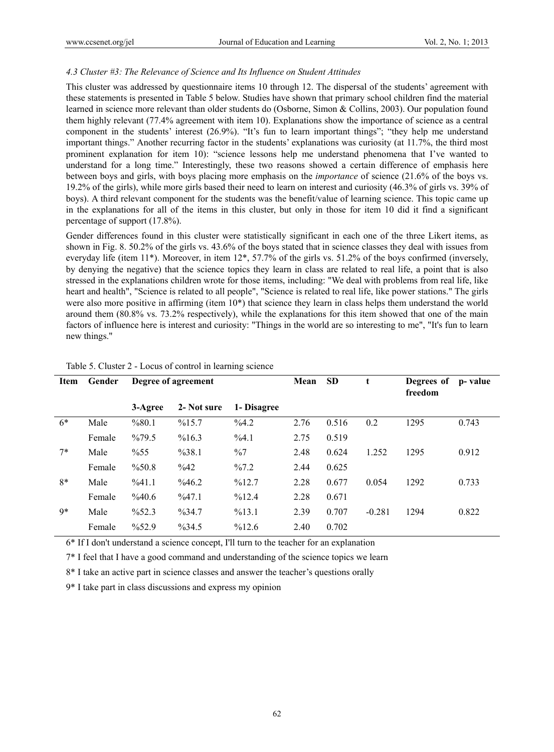## *4.3 Cluster #3: The Relevance of Science and Its Influence on Student Attitudes*

This cluster was addressed by questionnaire items 10 through 12. The dispersal of the students' agreement with these statements is presented in Table 5 below. Studies have shown that primary school children find the material learned in science more relevant than older students do (Osborne, Simon & Collins, 2003). Our population found them highly relevant (77.4% agreement with item 10). Explanations show the importance of science as a central component in the students' interest (26.9%). "It's fun to learn important things"; "they help me understand important things." Another recurring factor in the students' explanations was curiosity (at 11.7%, the third most prominent explanation for item 10): "science lessons help me understand phenomena that I've wanted to understand for a long time." Interestingly, these two reasons showed a certain difference of emphasis here between boys and girls, with boys placing more emphasis on the *importance* of science (21.6% of the boys vs. 19.2% of the girls), while more girls based their need to learn on interest and curiosity (46.3% of girls vs. 39% of boys). A third relevant component for the students was the benefit/value of learning science. This topic came up in the explanations for all of the items in this cluster, but only in those for item 10 did it find a significant percentage of support (17.8%).

Gender differences found in this cluster were statistically significant in each one of the three Likert items, as shown in Fig. 8. 50.2% of the girls vs. 43.6% of the boys stated that in science classes they deal with issues from everyday life (item 11\*). Moreover, in item 12\*, 57.7% of the girls vs. 51.2% of the boys confirmed (inversely, by denying the negative) that the science topics they learn in class are related to real life, a point that is also stressed in the explanations children wrote for those items, including: "We deal with problems from real life, like heart and health", "Science is related to all people", "Science is related to real life, like power stations." The girls were also more positive in affirming (item  $10^*$ ) that science they learn in class helps them understand the world around them (80.8% vs. 73.2% respectively), while the explanations for this item showed that one of the main factors of influence here is interest and curiosity: "Things in the world are so interesting to me", "It's fun to learn new things."

| Item | Gender | Degree of agreement |                   |                  | Mean | <b>SD</b> | t        | Degrees of<br>freedom | p- value |
|------|--------|---------------------|-------------------|------------------|------|-----------|----------|-----------------------|----------|
|      |        | 3-Agree             | 2- Not sure       | 1- Disagree      |      |           |          |                       |          |
| $6*$ | Male   | %80.1               | %15.7             | %4.2             | 2.76 | 0.516     | 0.2      | 1295                  | 0.743    |
|      | Female | $\frac{9}{679.5}$   | %16.3             | %4.1             | 2.75 | 0.519     |          |                       |          |
| $7*$ | Male   | $\%55$              | %38.1             | $\frac{0}{0}$    | 2.48 | 0.624     | 1.252    | 1295                  | 0.912    |
|      | Female | $\%50.8$            | $\frac{642}{6}$   | $\frac{9}{67.2}$ | 2.44 | 0.625     |          |                       |          |
| $8*$ | Male   | %41.1               | $\frac{9}{646.2}$ | %12.7            | 2.28 | 0.677     | 0.054    | 1292                  | 0.733    |
|      | Female | %40.6               | %47.1             | %12.4            | 2.28 | 0.671     |          |                       |          |
| $9*$ | Male   | $\frac{9}{6}$ 52.3  | $\frac{9}{6}34.7$ | %13.1            | 2.39 | 0.707     | $-0.281$ | 1294                  | 0.822    |
|      | Female | $\frac{9}{6}$ 52.9  | $\frac{9}{6}34.5$ | %12.6            | 2.40 | 0.702     |          |                       |          |

#### Table 5. Cluster 2 - Locus of control in learning science

6\* If I don't understand a science concept, I'll turn to the teacher for an explanation

7\* I feel that I have a good command and understanding of the science topics we learn

8\* I take an active part in science classes and answer the teacher's questions orally

9\* I take part in class discussions and express my opinion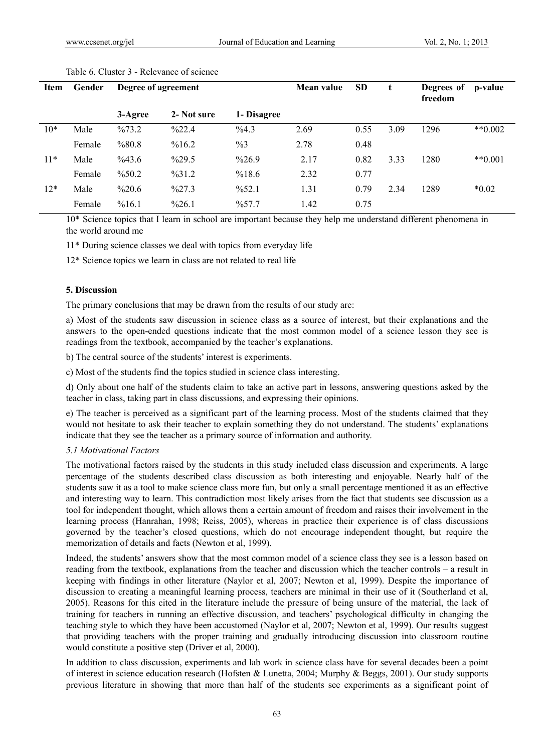| <b>Item</b> | Gender | Degree of agreement |                  | Mean value         | <b>SD</b> |      | Degrees of<br>freedom | p-value |           |
|-------------|--------|---------------------|------------------|--------------------|-----------|------|-----------------------|---------|-----------|
|             |        | 3-Agree             | 2- Not sure      | 1- Disagree        |           |      |                       |         |           |
| $10*$       | Male   | $\frac{9}{673.2}$   | $\frac{9}{22.4}$ | %4.3               | 2.69      | 0.55 | 3.09                  | 1296    | $**0.002$ |
|             | Female | %80.8               | %16.2            | $\frac{9}{63}$     | 2.78      | 0.48 |                       |         |           |
| $11*$       | Male   | $\%43.6$            | $\frac{9}{29.5}$ | $\frac{9}{26.9}$   | 2.17      | 0.82 | 3.33                  | 1280    | $**0.001$ |
|             | Female | $\%50.2$            | $\frac{9}{31.2}$ | %18.6              | 2.32      | 0.77 |                       |         |           |
| $12*$       | Male   | $\%20.6$            | $\frac{9}{27.3}$ | $\frac{9}{6}$ 52.1 | 1.31      | 0.79 | 2.34                  | 1289    | $*0.02$   |
|             | Female | %16.1               | $\frac{9}{26.1}$ | $\frac{9}{6}$ 57.7 | 1.42      | 0.75 |                       |         |           |

#### Table 6. Cluster 3 - Relevance of science

10\* Science topics that I learn in school are important because they help me understand different phenomena in the world around me

11\* During science classes we deal with topics from everyday life

12\* Science topics we learn in class are not related to real life

#### **5. Discussion**

The primary conclusions that may be drawn from the results of our study are:

a) Most of the students saw discussion in science class as a source of interest, but their explanations and the answers to the open-ended questions indicate that the most common model of a science lesson they see is readings from the textbook, accompanied by the teacher's explanations.

b) The central source of the students' interest is experiments.

c) Most of the students find the topics studied in science class interesting.

d) Only about one half of the students claim to take an active part in lessons, answering questions asked by the teacher in class, taking part in class discussions, and expressing their opinions.

e) The teacher is perceived as a significant part of the learning process. Most of the students claimed that they would not hesitate to ask their teacher to explain something they do not understand. The students' explanations indicate that they see the teacher as a primary source of information and authority.

#### *5.1 Motivational Factors*

The motivational factors raised by the students in this study included class discussion and experiments. A large percentage of the students described class discussion as both interesting and enjoyable. Nearly half of the students saw it as a tool to make science class more fun, but only a small percentage mentioned it as an effective and interesting way to learn. This contradiction most likely arises from the fact that students see discussion as a tool for independent thought, which allows them a certain amount of freedom and raises their involvement in the learning process (Hanrahan, 1998; Reiss, 2005), whereas in practice their experience is of class discussions governed by the teacher's closed questions, which do not encourage independent thought, but require the memorization of details and facts (Newton et al, 1999).

Indeed, the students' answers show that the most common model of a science class they see is a lesson based on reading from the textbook, explanations from the teacher and discussion which the teacher controls – a result in keeping with findings in other literature (Naylor et al, 2007; Newton et al, 1999). Despite the importance of discussion to creating a meaningful learning process, teachers are minimal in their use of it (Southerland et al, 2005). Reasons for this cited in the literature include the pressure of being unsure of the material, the lack of training for teachers in running an effective discussion, and teachers' psychological difficulty in changing the teaching style to which they have been accustomed (Naylor et al, 2007; Newton et al, 1999). Our results suggest that providing teachers with the proper training and gradually introducing discussion into classroom routine would constitute a positive step (Driver et al, 2000).

In addition to class discussion, experiments and lab work in science class have for several decades been a point of interest in science education research (Hofsten & Lunetta, 2004; Murphy & Beggs, 2001). Our study supports previous literature in showing that more than half of the students see experiments as a significant point of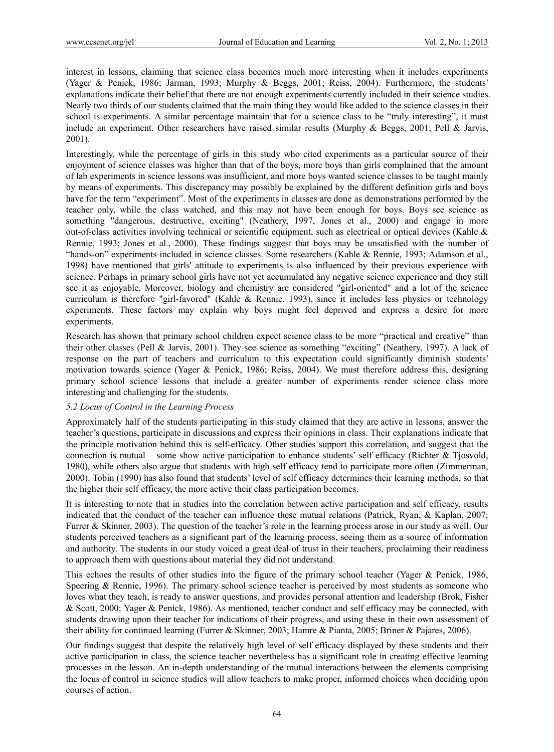interest in lessons, claiming that science class becomes much more interesting when it includes experiments (Yager & Penick, 1986; Jarman, 1993; Murphy & Beggs, 2001; Reiss, 2004). Furthermore, the students' explanations indicate their belief that there are not enough experiments currently included in their science studies. Nearly two thirds of our students claimed that the main thing they would like added to the science classes in their school is experiments. A similar percentage maintain that for a science class to be "truly interesting", it must include an experiment. Other researchers have raised similar results (Murphy & Beggs, 2001; Pell & Jarvis, 2001).

Interestingly, while the percentage of girls in this study who cited experiments as a particular source of their enjoyment of science classes was higher than that of the boys, more boys than girls complained that the amount of lab experiments in science lessons was insufficient, and more boys wanted science classes to be taught mainly by means of experiments. This discrepancy may possibly be explained by the different definition girls and boys have for the term "experiment". Most of the experiments in classes are done as demonstrations performed by the teacher only, while the class watched, and this may not have been enough for boys. Boys see science as something "dangerous, destructive, exciting" (Neathery, 1997, Jones et al., 2000) and engage in more out-of-class activities involving technical or scientific equipment, such as electrical or optical devices (Kahle  $\&$ Rennie, 1993; Jones et al., 2000). These findings suggest that boys may be unsatisfied with the number of "hands-on" experiments included in science classes. Some researchers (Kahle & Rennie, 1993; Adamson et al., 1998) have mentioned that girls' attitude to experiments is also influenced by their previous experience with science. Perhaps in primary school girls have not yet accumulated any negative science experience and they still see it as enjoyable. Moreover, biology and chemistry are considered "girl-oriented" and a lot of the science curriculum is therefore "girl-favored" (Kahle & Rennie, 1993), since it includes less physics or technology experiments. These factors may explain why boys might feel deprived and express a desire for more experiments.

Research has shown that primary school children expect science class to be more "practical and creative" than their other classes (Pell & Jarvis, 2001). They see science as something "exciting" (Neathery, 1997). A lack of response on the part of teachers and curriculum to this expectation could significantly diminish students' motivation towards science (Yager & Penick, 1986; Reiss, 2004). We must therefore address this, designing primary school science lessons that include a greater number of experiments render science class more interesting and challenging for the students.

#### *5.2 Locus of Control in the Learning Process*

Approximately half of the students participating in this study claimed that they are active in lessons, answer the teacher's questions, participate in discussions and express their opinions in class. Their explanations indicate that the principle motivation behind this is self-efficacy. Other studies support this correlation, and suggest that the connection is mutual – some show active participation to enhance students' self efficacy (Richter & Tjosvold, 1980), while others also argue that students with high self efficacy tend to participate more often (Zimmerman, 2000). Tobin (1990) has also found that students' level of self efficacy determines their learning methods, so that the higher their self efficacy, the more active their class participation becomes.

It is interesting to note that in studies into the correlation between active participation and self efficacy, results indicated that the conduct of the teacher can influence these mutual relations (Patrick, Ryan, & Kaplan, 2007; Furrer & Skinner, 2003). The question of the teacher's role in the learning process arose in our study as well. Our students perceived teachers as a significant part of the learning process, seeing them as a source of information and authority. The students in our study voiced a great deal of trust in their teachers, proclaiming their readiness to approach them with questions about material they did not understand.

This echoes the results of other studies into the figure of the primary school teacher (Yager & Penick, 1986, Speering  $\&$  Rennie, 1996). The primary school science teacher is perceived by most students as someone who loves what they teach, is ready to answer questions, and provides personal attention and leadership (Brok, Fisher & Scott, 2000; Yager & Penick, 1986). As mentioned, teacher conduct and self efficacy may be connected, with students drawing upon their teacher for indications of their progress, and using these in their own assessment of their ability for continued learning (Furrer & Skinner, 2003; Hamre & Pianta, 2005; Briner & Pajares, 2006).

Our findings suggest that despite the relatively high level of self efficacy displayed by these students and their active participation in class, the science teacher nevertheless has a significant role in creating effective learning processes in the lesson. An in-depth understanding of the mutual interactions between the elements comprising the locus of control in science studies will allow teachers to make proper, informed choices when deciding upon courses of action.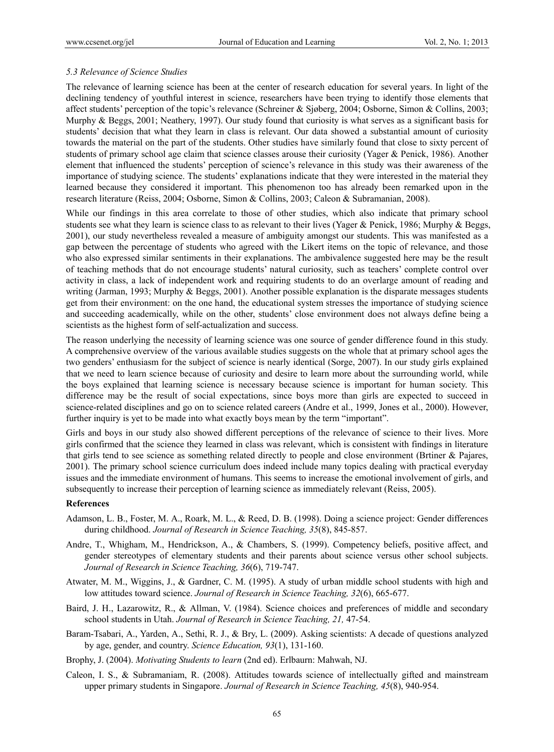#### *5.3 Relevance of Science Studies*

The relevance of learning science has been at the center of research education for several years. In light of the declining tendency of youthful interest in science, researchers have been trying to identify those elements that affect students' perception of the topic's relevance (Schreiner & Sjøberg, 2004; Osborne, Simon & Collins, 2003; Murphy & Beggs, 2001; Neathery, 1997). Our study found that curiosity is what serves as a significant basis for students' decision that what they learn in class is relevant. Our data showed a substantial amount of curiosity towards the material on the part of the students. Other studies have similarly found that close to sixty percent of students of primary school age claim that science classes arouse their curiosity (Yager & Penick, 1986). Another element that influenced the students' perception of science's relevance in this study was their awareness of the importance of studying science. The students' explanations indicate that they were interested in the material they learned because they considered it important. This phenomenon too has already been remarked upon in the research literature (Reiss, 2004; Osborne, Simon & Collins, 2003; Caleon & Subramanian, 2008).

While our findings in this area correlate to those of other studies, which also indicate that primary school students see what they learn is science class to as relevant to their lives (Yager & Penick, 1986; Murphy & Beggs, 2001), our study nevertheless revealed a measure of ambiguity amongst our students. This was manifested as a gap between the percentage of students who agreed with the Likert items on the topic of relevance, and those who also expressed similar sentiments in their explanations. The ambivalence suggested here may be the result of teaching methods that do not encourage students' natural curiosity, such as teachers' complete control over activity in class, a lack of independent work and requiring students to do an overlarge amount of reading and writing (Jarman, 1993; Murphy & Beggs, 2001). Another possible explanation is the disparate messages students get from their environment: on the one hand, the educational system stresses the importance of studying science and succeeding academically, while on the other, students' close environment does not always define being a scientists as the highest form of self-actualization and success.

The reason underlying the necessity of learning science was one source of gender difference found in this study. A comprehensive overview of the various available studies suggests on the whole that at primary school ages the two genders' enthusiasm for the subject of science is nearly identical (Sorge, 2007). In our study girls explained that we need to learn science because of curiosity and desire to learn more about the surrounding world, while the boys explained that learning science is necessary because science is important for human society. This difference may be the result of social expectations, since boys more than girls are expected to succeed in science-related disciplines and go on to science related careers (Andre et al., 1999, Jones et al., 2000). However, further inquiry is yet to be made into what exactly boys mean by the term "important".

Girls and boys in our study also showed different perceptions of the relevance of science to their lives. More girls confirmed that the science they learned in class was relevant, which is consistent with findings in literature that girls tend to see science as something related directly to people and close environment (Brtiner & Pajares, 2001). The primary school science curriculum does indeed include many topics dealing with practical everyday issues and the immediate environment of humans. This seems to increase the emotional involvement of girls, and subsequently to increase their perception of learning science as immediately relevant (Reiss, 2005).

#### **References**

- Adamson, L. B., Foster, M. A., Roark, M. L., & Reed, D. B. (1998). Doing a science project: Gender differences during childhood. *Journal of Research in Science Teaching, 35*(8), 845-857.
- Andre, T., Whigham, M., Hendrickson, A., & Chambers, S. (1999). Competency beliefs, positive affect, and gender stereotypes of elementary students and their parents about science versus other school subjects. *Journal of Research in Science Teaching, 36*(6), 719-747.
- Atwater, M. M., Wiggins, J., & Gardner, C. M. (1995). A study of urban middle school students with high and low attitudes toward science. *Journal of Research in Science Teaching, 32*(6), 665-677.
- Baird, J. H., Lazarowitz, R., & Allman, V. (1984). Science choices and preferences of middle and secondary school students in Utah. *Journal of Research in Science Teaching, 21,* 47-54.
- Baram-Tsabari, A., Yarden, A., Sethi, R. J., & Bry, L. (2009). Asking scientists: A decade of questions analyzed by age, gender, and country. *Science Education, 93*(1), 131-160.
- Brophy, J. (2004). *Motivating Students to learn* (2nd ed). Erlbaurn: Mahwah, NJ.
- Caleon, I. S., & Subramaniam, R. (2008). Attitudes towards science of intellectually gifted and mainstream upper primary students in Singapore. *Journal of Research in Science Teaching, 45*(8), 940-954.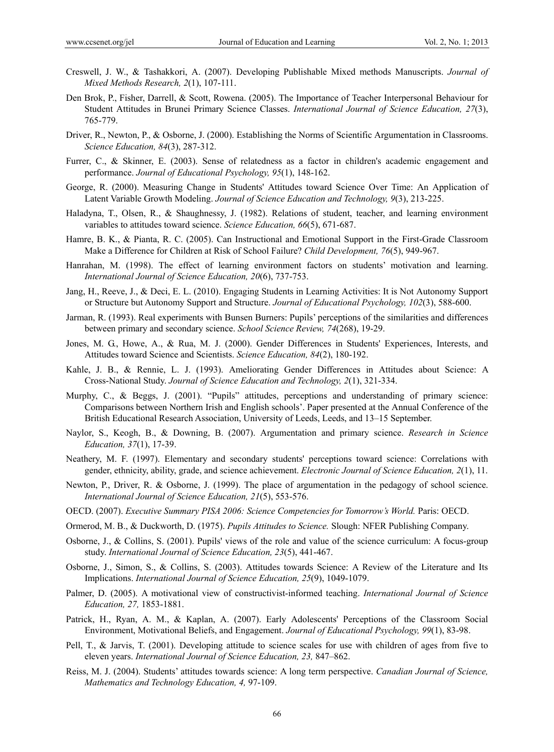- Creswell, J. W., & Tashakkori, A. (2007). Developing Publishable Mixed methods Manuscripts. *Journal of Mixed Methods Research, 2*(1), 107-111.
- Den Brok, P., Fisher, Darrell, & Scott, Rowena. (2005). The Importance of Teacher Interpersonal Behaviour for Student Attitudes in Brunei Primary Science Classes. *International Journal of Science Education, 27*(3), 765-779.
- Driver, R., Newton, P., & Osborne, J. (2000). Establishing the Norms of Scientific Argumentation in Classrooms. *Science Education, 84*(3), 287-312.
- Furrer, C., & Skinner, E. (2003). Sense of relatedness as a factor in children's academic engagement and performance. *Journal of Educational Psychology, 95*(1), 148-162.
- George, R. (2000). Measuring Change in Students' Attitudes toward Science Over Time: An Application of Latent Variable Growth Modeling. *Journal of Science Education and Technology, 9*(3), 213-225.
- Haladyna, T., Olsen, R., & Shaughnessy, J. (1982). Relations of student, teacher, and learning environment variables to attitudes toward science. *Science Education, 66*(5), 671-687.
- Hamre, B. K., & Pianta, R. C. (2005). Can Instructional and Emotional Support in the First-Grade Classroom Make a Difference for Children at Risk of School Failure? *Child Development, 76*(5), 949-967.
- Hanrahan, M. (1998). The effect of learning environment factors on students' motivation and learning. *International Journal of Science Education, 20*(6), 737-753.
- Jang, H., Reeve, J., & Deci, E. L. (2010). Engaging Students in Learning Activities: It is Not Autonomy Support or Structure but Autonomy Support and Structure. *Journal of Educational Psychology, 102*(3), 588-600.
- Jarman, R. (1993). Real experiments with Bunsen Burners: Pupils' perceptions of the similarities and differences between primary and secondary science. *School Science Review, 74*(268), 19-29.
- Jones, M. G., Howe, A., & Rua, M. J. (2000). Gender Differences in Students' Experiences, Interests, and Attitudes toward Science and Scientists. *Science Education, 84*(2), 180-192.
- Kahle, J. B., & Rennie, L. J. (1993). Ameliorating Gender Differences in Attitudes about Science: A Cross-National Study. *Journal of Science Education and Technology, 2*(1), 321-334.
- Murphy, C., & Beggs, J. (2001). "Pupils" attitudes, perceptions and understanding of primary science: Comparisons between Northern Irish and English schools'. Paper presented at the Annual Conference of the British Educational Research Association, University of Leeds, Leeds, and 13–15 September.
- Naylor, S., Keogh, B., & Downing, B. (2007). Argumentation and primary science. *Research in Science Education, 37*(1), 17-39.
- Neathery, M. F. (1997). Elementary and secondary students' perceptions toward science: Correlations with gender, ethnicity, ability, grade, and science achievement. *Electronic Journal of Science Education, 2*(1), 11.
- Newton, P., Driver, R. & Osborne, J. (1999). The place of argumentation in the pedagogy of school science. *International Journal of Science Education, 21*(5), 553-576.
- OECD. (2007). *Executive Summary PISA 2006: Science Competencies for Tomorrow's World.* Paris: OECD.
- Ormerod, M. B., & Duckworth, D. (1975). *Pupils Attitudes to Science.* Slough: NFER Publishing Company.
- Osborne, J., & Collins, S. (2001). Pupils' views of the role and value of the science curriculum: A focus-group study. *International Journal of Science Education, 23*(5), 441-467.
- Osborne, J., Simon, S., & Collins, S. (2003). Attitudes towards Science: A Review of the Literature and Its Implications. *International Journal of Science Education, 25*(9), 1049-1079.
- Palmer, D. (2005). A motivational view of constructivist-informed teaching. *International Journal of Science Education, 27,* 1853-1881.
- Patrick, H., Ryan, A. M., & Kaplan, A. (2007). Early Adolescents' Perceptions of the Classroom Social Environment, Motivational Beliefs, and Engagement. *Journal of Educational Psychology, 99*(1), 83-98.
- Pell, T., & Jarvis, T. (2001). Developing attitude to science scales for use with children of ages from five to eleven years. *International Journal of Science Education, 23,* 847–862.
- Reiss, M. J. (2004). Students' attitudes towards science: A long term perspective. *Canadian Journal of Science, Mathematics and Technology Education, 4,* 97-109.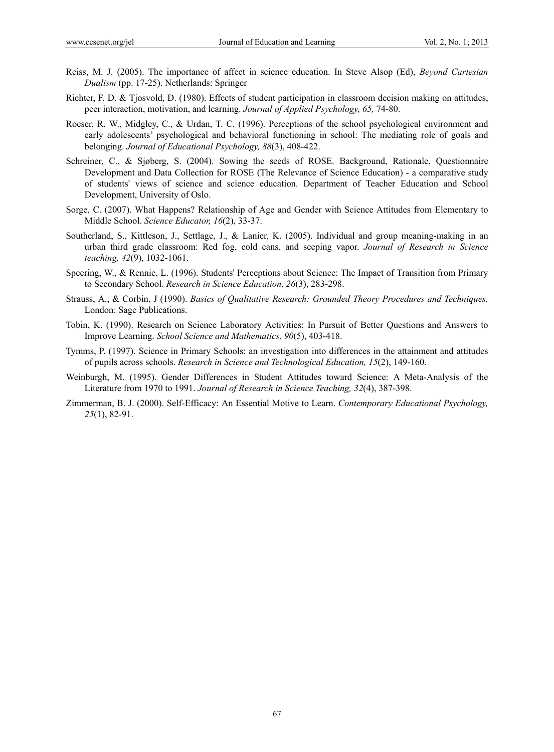- Reiss, M. J. (2005). The importance of affect in science education. In Steve Alsop (Ed), *Beyond Cartesian Dualism* (pp. 17-25). Netherlands: Springer
- Richter, F. D. & Tjosvold, D. (1980). Effects of student participation in classroom decision making on attitudes, peer interaction, motivation, and learning. *Journal of Applied Psychology, 65,* 74-80.
- Roeser, R. W., Midgley, C., & Urdan, T. C. (1996). Perceptions of the school psychological environment and early adolescents' psychological and behavioral functioning in school: The mediating role of goals and belonging. *Journal of Educational Psychology, 88*(3), 408-422.
- Schreiner, C., & Sjøberg, S. (2004). Sowing the seeds of ROSE. Background, Rationale, Questionnaire Development and Data Collection for ROSE (The Relevance of Science Education) - a comparative study of students' views of science and science education. Department of Teacher Education and School Development, University of Oslo.
- Sorge, C. (2007). What Happens? Relationship of Age and Gender with Science Attitudes from Elementary to Middle School. *Science Educator, 16*(2), 33-37.
- Southerland, S., Kittleson, J., Settlage, J., & Lanier, K. (2005). Individual and group meaning-making in an urban third grade classroom: Red fog, cold cans, and seeping vapor. *Journal of Research in Science teaching, 42*(9), 1032-1061.
- Speering, W., & Rennie, L. (1996). Students' Perceptions about Science: The Impact of Transition from Primary to Secondary School. *Research in Science Education*, *26*(3), 283-298.
- Strauss, A., & Corbin, J (1990). *Basics of Qualitative Research: Grounded Theory Procedures and Techniques.* London: Sage Publications.
- Tobin, K. (1990). Research on Science Laboratory Activities: In Pursuit of Better Questions and Answers to Improve Learning. *School Science and Mathematics, 90*(5), 403-418.
- Tymms, P. (1997). Science in Primary Schools: an investigation into differences in the attainment and attitudes of pupils across schools. *Research in Science and Technological Education, 15*(2), 149-160.
- Weinburgh, M. (1995). Gender Differences in Student Attitudes toward Science: A Meta-Analysis of the Literature from 1970 to 1991. *Journal of Research in Science Teaching, 32*(4), 387-398.
- Zimmerman, B. J. (2000). Self-Efficacy: An Essential Motive to Learn. *Contemporary Educational Psychology, 25*(1), 82-91.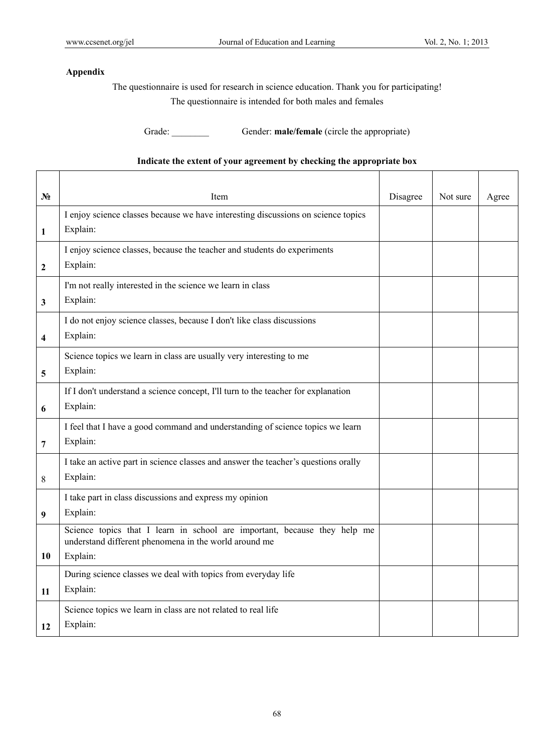## **Appendix**

The questionnaire is used for research in science education. Thank you for participating! The questionnaire is intended for both males and females

Grade: Gender: **male/female** (circle the appropriate)

# **Indicate the extent of your agreement by checking the appropriate box**

| $N_2$ | Item                                                                                                                                           | Disagree | Not sure | Agree |
|-------|------------------------------------------------------------------------------------------------------------------------------------------------|----------|----------|-------|
| 1     | I enjoy science classes because we have interesting discussions on science topics<br>Explain:                                                  |          |          |       |
| 2     | I enjoy science classes, because the teacher and students do experiments<br>Explain:                                                           |          |          |       |
| 3     | I'm not really interested in the science we learn in class<br>Explain:                                                                         |          |          |       |
| 4     | I do not enjoy science classes, because I don't like class discussions<br>Explain:                                                             |          |          |       |
| 5     | Science topics we learn in class are usually very interesting to me<br>Explain:                                                                |          |          |       |
| 6     | If I don't understand a science concept, I'll turn to the teacher for explanation<br>Explain:                                                  |          |          |       |
| 7     | I feel that I have a good command and understanding of science topics we learn<br>Explain:                                                     |          |          |       |
| 8     | I take an active part in science classes and answer the teacher's questions orally<br>Explain:                                                 |          |          |       |
| 9     | I take part in class discussions and express my opinion<br>Explain:                                                                            |          |          |       |
| 10    | Science topics that I learn in school are important, because they help me<br>understand different phenomena in the world around me<br>Explain: |          |          |       |
| 11    | During science classes we deal with topics from everyday life<br>Explain:                                                                      |          |          |       |
| 12    | Science topics we learn in class are not related to real life<br>Explain:                                                                      |          |          |       |